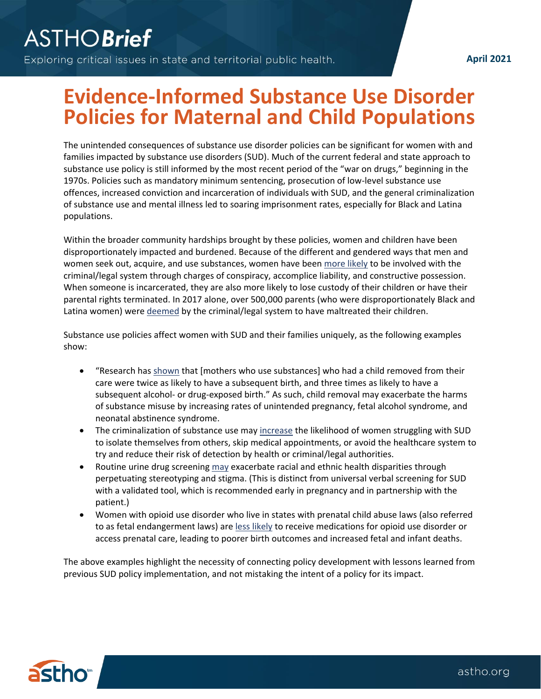## **Evidence-Informed Substance Use Disorder Policies for Maternal and Child Populations**

The unintended consequences of substance use disorder policies can be significant for women with and families impacted by substance use disorders (SUD). Much of the current federal and state approach to substance use policy is still informed by the most recent period of the "war on drugs," beginning in the 1970s. Policies such as mandatory minimum sentencing, prosecution of low-level substance use offences, increased conviction and incarceration of individuals with SUD, and the general criminalization of substance use and mental illness led to soaring imprisonment rates, especially for Black and Latina populations.

Within the broader community hardships brought by these policies, women and children have been disproportionately impacted and burdened. Because of the different and gendered ways that men and women seek out, acquire, and use substances, women have been [more likely](https://www.aclu.org/files/images/asset_upload_file431_23513.pdf) to be involved with the criminal/legal system through charges of conspiracy, accomplice liability, and constructive possession. When someone is incarcerated, they are also more likely to lose custody of their children or have their parental rights terminated. In 2017 alone, over 500,000 parents (who were disproportionately Black and Latina women) were [deemed](https://www.acf.hhs.gov/sites/default/files/documents/cb/cm2019.pdf#page=82) by the criminal/legal system to have maltreated their children.

Substance use policies affect women with SUD and their families uniquely, as the following examples show:

- "Research ha[s shown](https://adai.uw.edu/pubs/pdf/2015childwelfare.pdf) that [mothers who use substances] who had a child removed from their care were twice as likely to have a subsequent birth, and three times as likely to have a subsequent alcohol- or drug-exposed birth." As such, child removal may exacerbate the harms of substance misuse by increasing rates of unintended pregnancy, fetal alcohol syndrome, and neonatal abstinence syndrome.
- The criminalization of substance use may [increase](https://healthandjusticejournal.biomedcentral.com/articles/10.1186/s40352-015-0015-5) the likelihood of women struggling with SUD to isolate themselves from others, skip medical appointments, or avoid the healthcare system to try and reduce their risk of detection by health or criminal/legal authorities.
- Routine urine drug screening [may](https://www.acog.org/en/Clinical/Clinical%20Guidance/Committee%20Opinion/Articles/2017/08/Opioid%20Use%20and%20Opioid%20Use%20Disorder%20in%20Pregnancy) exacerbate racial and ethnic health disparities through perpetuating stereotyping and stigma. (This is distinct from universal verbal screening for SUD with a validated tool, which is recommended early in pregnancy and in partnership with the patient.)
- Women with opioid use disorder who live in states with prenatal child abuse laws (also referred to as fetal endangerment laws) are [less likely](https://www.scholars.northwestern.edu/en/publications/a-moral-or-medical-problem-the-relationship-between-legal-penalti) to receive medications for opioid use disorder or access prenatal care, leading to poorer birth outcomes and increased fetal and infant deaths.

The above examples highlight the necessity of connecting policy development with lessons learned from previous SUD policy implementation, and not mistaking the intent of a policy for its impact.